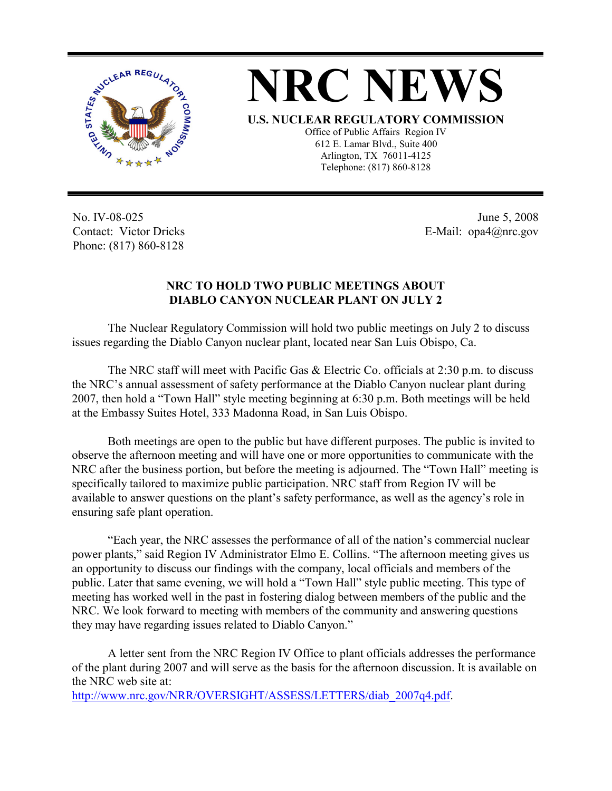



**U.S. NUCLEAR REGULATORY COMMISSION**

Office of Public Affairs Region IV 612 E. Lamar Blvd., Suite 400 Arlington, TX 76011-4125 Telephone: (817) 860-8128

No. IV-08-025 Contact: Victor Dricks Phone: (817) 860-8128

June 5, 2008 E-Mail: opa4@nrc.gov

## **NRC TO HOLD TWO PUBLIC MEETINGS ABOUT DIABLO CANYON NUCLEAR PLANT ON JULY 2**

 The Nuclear Regulatory Commission will hold two public meetings on July 2 to discuss issues regarding the Diablo Canyon nuclear plant, located near San Luis Obispo, Ca.

 The NRC staff will meet with Pacific Gas & Electric Co. officials at 2:30 p.m. to discuss the NRC's annual assessment of safety performance at the Diablo Canyon nuclear plant during 2007, then hold a "Town Hall" style meeting beginning at 6:30 p.m. Both meetings will be held at the Embassy Suites Hotel, 333 Madonna Road, in San Luis Obispo.

 Both meetings are open to the public but have different purposes. The public is invited to observe the afternoon meeting and will have one or more opportunities to communicate with the NRC after the business portion, but before the meeting is adjourned. The "Town Hall" meeting is specifically tailored to maximize public participation. NRC staff from Region IV will be available to answer questions on the plant's safety performance, as well as the agency's role in ensuring safe plant operation.

 "Each year, the NRC assesses the performance of all of the nation's commercial nuclear power plants," said Region IV Administrator Elmo E. Collins. "The afternoon meeting gives us an opportunity to discuss our findings with the company, local officials and members of the public. Later that same evening, we will hold a "Town Hall" style public meeting. This type of meeting has worked well in the past in fostering dialog between members of the public and the NRC. We look forward to meeting with members of the community and answering questions they may have regarding issues related to Diablo Canyon."

A letter sent from the NRC Region IV Office to plant officials addresses the performance of the plant during 2007 and will serve as the basis for the afternoon discussion. It is available on the NRC web site at:

http://www.nrc.gov/NRR/OVERSIGHT/ASSESS/LETTERS/diab\_2007q4.pdf.